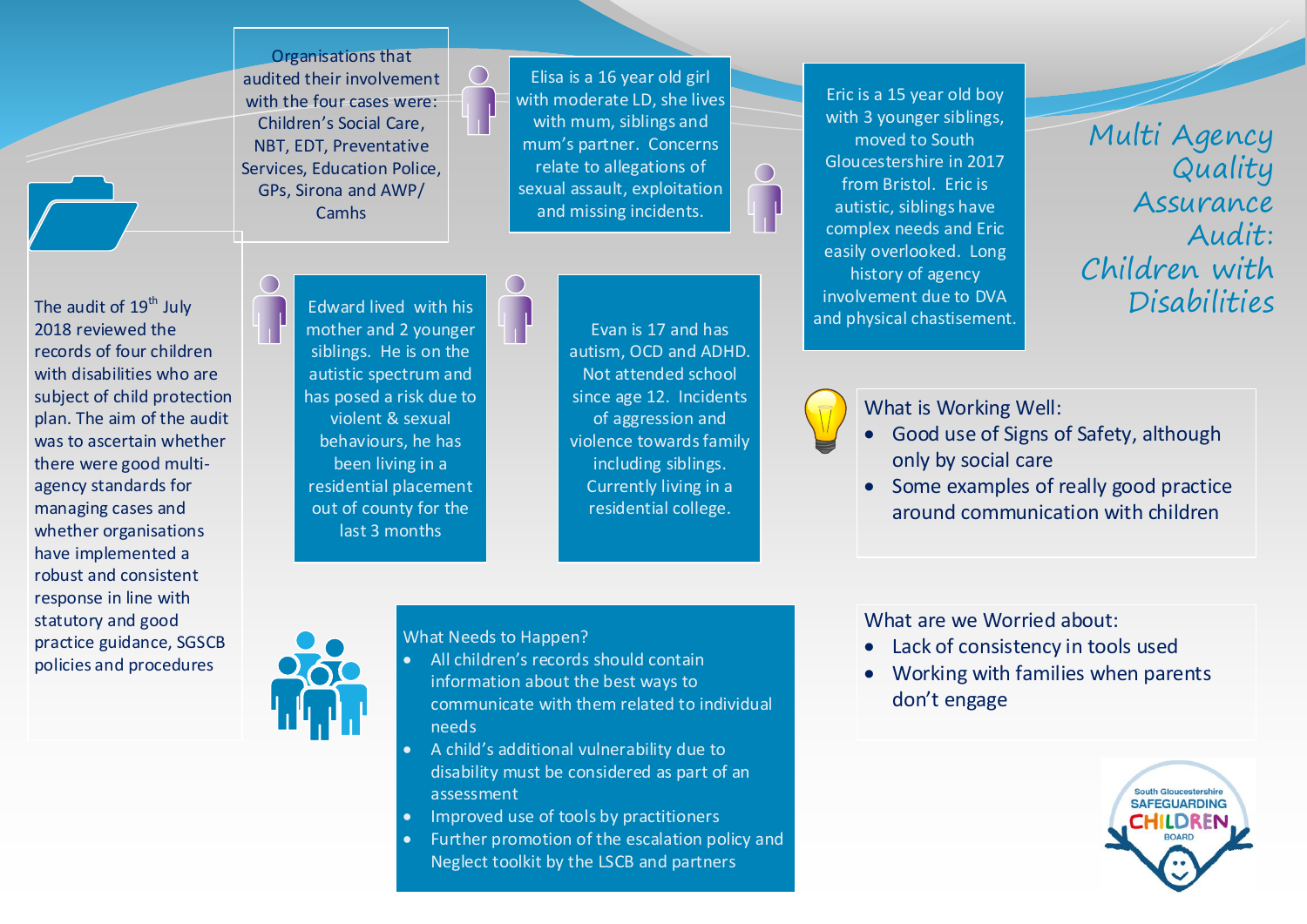Organisations that audited their involvement with the four cases were: Children's Social Care, NBT, EDT, Preventative Services, Education Police, GPs, Sirona and AWP/ **Camhs** 

Elisa is a 16 year old girl with moderate LD, she lives with mum, siblings and mum's partner. Concerns relate to allegations of sexual assault, exploitation and missing incidents.

The audit of 19<sup>th</sup> July  $\Box$  Edward lived with his  $\Box$  The July 2014 and physical chartic ment  $\Box$  Disabilities Eric is a 15 year old boy with 3 younger siblings, moved to South Gloucestershire in 2017 from Bristol. Eric is autistic, siblings have complex needs and Eric easily overlooked. Long history of agency involvement due to DVA and physical chastisement.

Multi Agency Quality Assurance Audit: Children with

2018 reviewed the records of four children with disabilities who are subject of child protection plan. The aim of the audit was to ascertain whether there were good multiagency standards for managing cases and whether organisations have implemented a robust and consistent response in line with statutory and good practice guidance, SGSCB policies and procedures



 $\bigcirc$ 

Evan is 17 and has autism, OCD and ADHD. Not attended school since age 12. Incidents of aggression and violence towards family including siblings. Currently living in a residential college.

 $\bigcap$ 

What is Working Well:

- Good use of Signs of Safety, although only by social care
- Some examples of really good practice around communication with children

What Needs to Happen?

- All children's records should contain information about the best ways to communicate with them related to individual needs
- A child's additional vulnerability due to disability must be considered as part of an assessment
- Improved use of tools by practitioners
- Further promotion of the escalation policy and Neglect toolkit by the LSCB and partners

What are we Worried about:

- Lack of consistency in tools used
- Working with families when parents don't engage